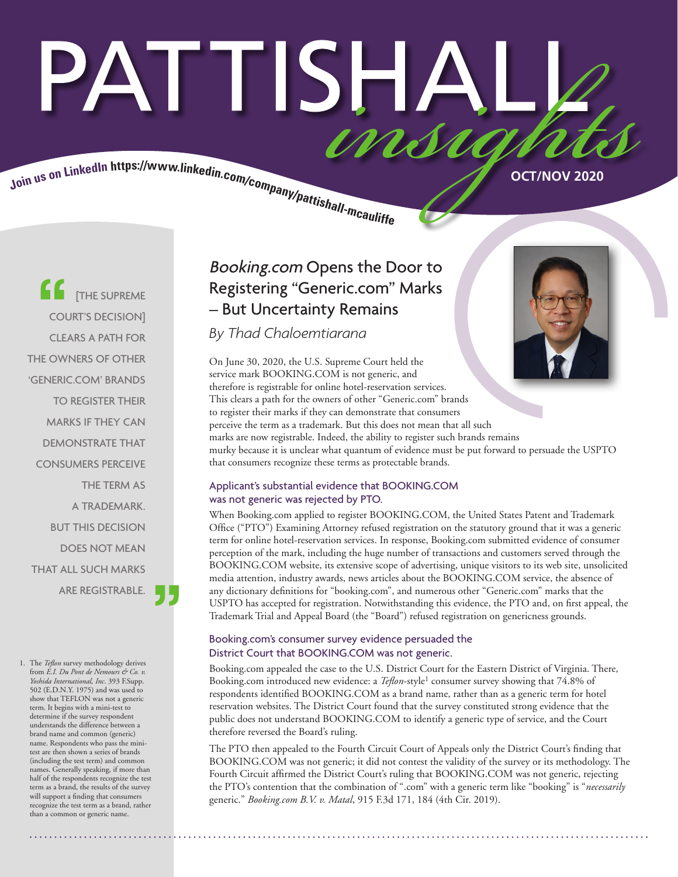# PATTISHAI imsu

Join us on LinkedIn https://www.linkedin.com/company/pattishall-most street of the COCT/NOV 2020

**EXECUTE** [THE SUPREME COURT'S DECISION] CLEARS A PATH FOR THE OWNERS OF OTHER 'GENERIC.COM' BRANDS TO REGISTER THEIR MARKS IF THEY CAN DEMONSTRATE THAT CONSUMERS PERCEIVE THE TERM AS A TRADEMARK. BUT THIS DECISION DOES NOT MEAN THAT ALL SUCH MARKS ARE REGISTRABLE.

1. The *Teflon* survey methodology derives from *E.I. Du Pont de Nemours & Co. v. Yoshida International, Inc*. 393 F.Supp. 502 (E.D.N.Y. 1975) and was used to show that TEFLON was not a generic term. It begins with a mini-test to determine if the survey respondent understands the difference between a brand name and common (generic) name. Respondents who pass the minitest are then shown a series of brands (including the test term) and common names. Generally speaking, if more than half of the respondents recognize the test term as a brand, the results of the survey will support a finding that consumers recognize the test term as a brand, rather than a common or generic name.

## Booking.com Opens the Door to Registering "Generic.com" Marks – But Uncertainty Remains

*By Thad Chaloemtiarana*

On June 30, 2020, the U.S. Supreme Court held the service mark BOOKING.COM is not generic, and therefore is registrable for online hotel-reservation services. This clears a path for the owners of other "Generic.com" brands to register their marks if they can demonstrate that consumers perceive the term as a trademark. But this does not mean that all such marks are now registrable. Indeed, the ability to register such brands remains murky because it is unclear what quantum of evidence must be put forward to persuade the USPTO that consumers recognize these terms as protectable brands.

#### Applicant's substantial evidence that BOOKING.COM was not generic was rejected by PTO.

When Booking.com applied to register BOOKING.COM, the United States Patent and Trademark Office ("PTO") Examining Attorney refused registration on the statutory ground that it was a generic term for online hotel-reservation services. In response, Booking.com submitted evidence of consumer perception of the mark, including the huge number of transactions and customers served through the BOOKING.COM website, its extensive scope of advertising, unique visitors to its web site, unsolicited media attention, industry awards, news articles about the BOOKING.COM service, the absence of any dictionary definitions for "booking.com", and numerous other "Generic.com" marks that the USPTO has accepted for registration. Notwithstanding this evidence, the PTO and, on first appeal, the Trademark Trial and Appeal Board (the "Board") refused registration on genericness grounds.

#### Booking.com's consumer survey evidence persuaded the District Court that BOOKING.COM was not generic.

Booking.com appealed the case to the U.S. District Court for the Eastern District of Virginia. There, Booking.com introduced new evidence: a *Teflon*-style1 consumer survey showing that 74.8% of respondents identified BOOKING.COM as a brand name, rather than as a generic term for hotel reservation websites. The District Court found that the survey constituted strong evidence that the public does not understand BOOKING.COM to identify a generic type of service, and the Court therefore reversed the Board's ruling.

The PTO then appealed to the Fourth Circuit Court of Appeals only the District Court's finding that BOOKING.COM was not generic; it did not contest the validity of the survey or its methodology. The Fourth Circuit affirmed the District Court's ruling that BOOKING.COM was not generic, rejecting the PTO's contention that the combination of ".com" with a generic term like "booking" is "*necessarily* generic." *Booking.com B.V. v. Matal*, 915 F.3d 171, 184 (4th Cir. 2019).

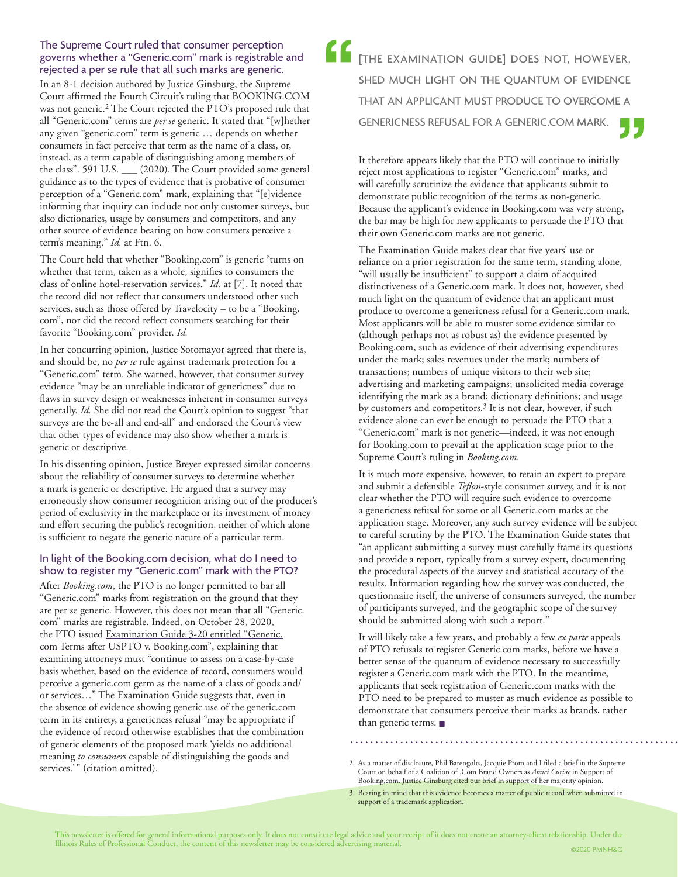#### The Supreme Court ruled that consumer perception governs whether a "Generic.com" mark is registrable and rejected a per se rule that all such marks are generic.

In an 8-1 decision authored by Justice Ginsburg, the Supreme Court affirmed the Fourth Circuit's ruling that BOOKING.COM was not generic.2 The Court rejected the PTO's proposed rule that all "Generic.com" terms are *per se* generic. It stated that "[w]hether any given "generic.com" term is generic … depends on whether consumers in fact perceive that term as the name of a class, or, instead, as a term capable of distinguishing among members of the class". 591 U.S. \_\_\_ (2020). The Court provided some general guidance as to the types of evidence that is probative of consumer perception of a "Generic.com" mark, explaining that "[e]vidence informing that inquiry can include not only customer surveys, but also dictionaries, usage by consumers and competitors, and any other source of evidence bearing on how consumers perceive a term's meaning." *Id.* at Ftn. 6.

The Court held that whether "Booking.com" is generic "turns on whether that term, taken as a whole, signifies to consumers the class of online hotel-reservation services." *Id.* at [7]. It noted that the record did not reflect that consumers understood other such services, such as those offered by Travelocity – to be a "Booking. com", nor did the record reflect consumers searching for their favorite "Booking.com" provider. *Id.*

In her concurring opinion, Justice Sotomayor agreed that there is, and should be, no *per se* rule against trademark protection for a "Generic.com" term. She warned, however, that consumer survey evidence "may be an unreliable indicator of genericness" due to flaws in survey design or weaknesses inherent in consumer surveys generally. *Id.* She did not read the Court's opinion to suggest "that surveys are the be-all and end-all" and endorsed the Court's view that other types of evidence may also show whether a mark is generic or descriptive.

In his dissenting opinion, Justice Breyer expressed similar concerns about the reliability of consumer surveys to determine whether a mark is generic or descriptive. He argued that a survey may erroneously show consumer recognition arising out of the producer's period of exclusivity in the marketplace or its investment of money and effort securing the public's recognition, neither of which alone is sufficient to negate the generic nature of a particular term.

#### In light of the Booking.com decision, what do I need to show to register my "Generic.com" mark with the PTO?

After *Booking.com*, the PTO is no longer permitted to bar all "Generic.com" marks from registration on the ground that they are per se generic. However, this does not mean that all "Generic. com" marks are registrable. Indeed, on October 28, 2020, the PTO issued [Examination Guide 3-20 entitled "Generic.](https://www.uspto.gov/sites/default/files/documents/TM-ExamGuide-3-20.pdf?utm_campaign=subscriptioncenter&utm_content=&utm_medium=email&utm_name=&utm_source=govdelivery&utm_term=) [com Terms after USPTO v. Booking.com](https://www.uspto.gov/sites/default/files/documents/TM-ExamGuide-3-20.pdf?utm_campaign=subscriptioncenter&utm_content=&utm_medium=email&utm_name=&utm_source=govdelivery&utm_term=)", explaining that examining attorneys must "continue to assess on a case-by-case basis whether, based on the evidence of record, consumers would perceive a generic.com germ as the name of a class of goods and/ or services…" The Examination Guide suggests that, even in the absence of evidence showing generic use of the generic.com term in its entirety, a genericness refusal "may be appropriate if the evidence of record otherwise establishes that the combination of generic elements of the proposed mark 'yields no additional meaning *to consumers* capable of distinguishing the goods and services.'" (citation omitted).

[THE EXAMINATION GUIDE] DOES NOT, HOWEVER, SHED MUCH LIGHT ON THE QUANTUM OF EVIDENCE THAT AN APPLICANT MUST PRODUCE TO OVERCOME A GENERICNESS REFUSAL FOR A GENERIC.COM MARK.

It therefore appears likely that the PTO will continue to initially reject most applications to register "Generic.com" marks, and will carefully scrutinize the evidence that applicants submit to demonstrate public recognition of the terms as non-generic. Because the applicant's evidence in Booking.com was very strong, the bar may be high for new applicants to persuade the PTO that their own Generic.com marks are not generic.

The Examination Guide makes clear that five years' use or reliance on a prior registration for the same term, standing alone, "will usually be insufficient" to support a claim of acquired distinctiveness of a Generic.com mark. It does not, however, shed much light on the quantum of evidence that an applicant must produce to overcome a genericness refusal for a Generic.com mark. Most applicants will be able to muster some evidence similar to (although perhaps not as robust as) the evidence presented by Booking.com, such as evidence of their advertising expenditures under the mark; sales revenues under the mark; numbers of transactions; numbers of unique visitors to their web site; advertising and marketing campaigns; unsolicited media coverage identifying the mark as a brand; dictionary definitions; and usage by customers and competitors.<sup>3</sup> It is not clear, however, if such evidence alone can ever be enough to persuade the PTO that a "Generic.com" mark is not generic—indeed, it was not enough for Booking.com to prevail at the application stage prior to the Supreme Court's ruling in *Booking.com*.

It is much more expensive, however, to retain an expert to prepare and submit a defensible *Teflon*-style consumer survey, and it is not clear whether the PTO will require such evidence to overcome a genericness refusal for some or all Generic.com marks at the application stage. Moreover, any such survey evidence will be subject to careful scrutiny by the PTO. The Examination Guide states that "an applicant submitting a survey must carefully frame its questions and provide a report, typically from a survey expert, documenting the procedural aspects of the survey and statistical accuracy of the results. Information regarding how the survey was conducted, the questionnaire itself, the universe of consumers surveyed, the number of participants surveyed, and the geographic scope of the survey should be submitted along with such a report."

It will likely take a few years, and probably a few *ex parte* appeals of PTO refusals to register Generic.com marks, before we have a better sense of the quantum of evidence necessary to successfully register a Generic.com mark with the PTO. In the meantime, applicants that seek registration of Generic.com marks with the PTO need to be prepared to muster as much evidence as possible to demonstrate that consumers perceive their marks as brands, rather than generic terms. ■

<sup>2.</sup> As a matter of disclosure, Phil Barengolts, Jacquie Prom and I filed a [brief](https://www.pattishall.com/pdf/Brief%20of%20Coalition%20of%20.Com%20Brand%20Owners.pdf) in the Supreme Court on behalf of a Coalition of .Com Brand Owners as *Amici Curiae* in Support of Booking,com. Justice Ginsburg cited our brief in support of her majority opinion.

<sup>3.</sup> Bearing in mind that this evidence becomes a matter of public record when submitted in support of a trademark application.